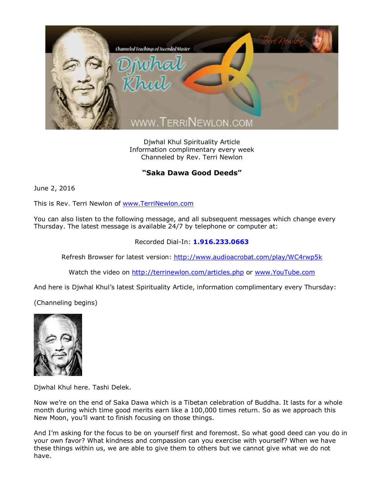

Djwhal Khul Spirituality Article Information complimentary every week Channeled by Rev. Terri Newlon

## **"Saka Dawa Good Deeds"**

June 2, 2016

This is Rev. Terri Newlon of [www.TerriNewlon.com](http://www.terrinewlon.com/)

You can also listen to the following message, and all subsequent messages which change every Thursday. The latest message is available 24/7 by telephone or computer at:

## Recorded Dial-In: **1.916.233.0663**

Refresh Browser for latest version: <http://www.audioacrobat.com/play/WC4rwp5k>

Watch the video on <http://terrinewlon.com/articles.php> or [www.YouTube.com](http://www.youtube.com/)

And here is Djwhal Khul's latest Spirituality Article, information complimentary every Thursday:

(Channeling begins)



Djwhal Khul here. Tashi Delek.

Now we're on the end of Saka Dawa which is a Tibetan celebration of Buddha. It lasts for a whole month during which time good merits earn like a 100,000 times return. So as we approach this New Moon, you'll want to finish focusing on those things.

And I'm asking for the focus to be on yourself first and foremost. So what good deed can you do in your own favor? What kindness and compassion can you exercise with yourself? When we have these things within us, we are able to give them to others but we cannot give what we do not have.